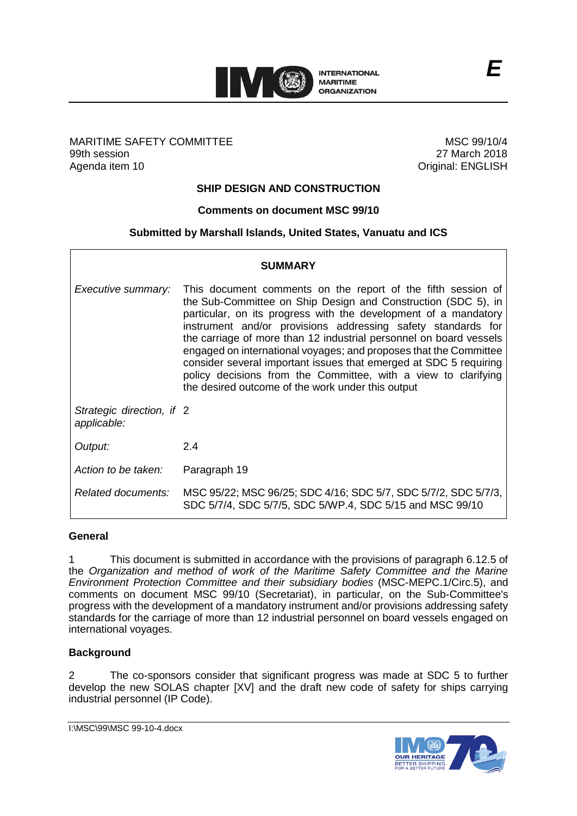

## MARITIME SAFETY COMMITTEE 99th session Agenda item 10

MSC 99/10/4 27 March 2018 Original: ENGLISH

# **SHIP DESIGN AND CONSTRUCTION**

## **Comments on document MSC 99/10**

## **Submitted by Marshall Islands, United States, Vanuatu and ICS**

| SUMMARY                                  |                                                                                                                                                                                                                                                                                                                                                                                                                                                                                                                                                                                                         |
|------------------------------------------|---------------------------------------------------------------------------------------------------------------------------------------------------------------------------------------------------------------------------------------------------------------------------------------------------------------------------------------------------------------------------------------------------------------------------------------------------------------------------------------------------------------------------------------------------------------------------------------------------------|
| Executive summary:                       | This document comments on the report of the fifth session of<br>the Sub-Committee on Ship Design and Construction (SDC 5), in<br>particular, on its progress with the development of a mandatory<br>instrument and/or provisions addressing safety standards for<br>the carriage of more than 12 industrial personnel on board vessels<br>engaged on international voyages; and proposes that the Committee<br>consider several important issues that emerged at SDC 5 requiring<br>policy decisions from the Committee, with a view to clarifying<br>the desired outcome of the work under this output |
| Strategic direction, if 2<br>applicable: |                                                                                                                                                                                                                                                                                                                                                                                                                                                                                                                                                                                                         |
| Output:                                  | 2.4                                                                                                                                                                                                                                                                                                                                                                                                                                                                                                                                                                                                     |
| Action to be taken:                      | Paragraph 19                                                                                                                                                                                                                                                                                                                                                                                                                                                                                                                                                                                            |
| Related documents:                       | MSC 95/22; MSC 96/25; SDC 4/16; SDC 5/7, SDC 5/7/2, SDC 5/7/3,<br>SDC 5/7/4, SDC 5/7/5, SDC 5/WP.4, SDC 5/15 and MSC 99/10                                                                                                                                                                                                                                                                                                                                                                                                                                                                              |

#### **General**

1 This document is submitted in accordance with the provisions of paragraph 6.12.5 of the *Organization and method of work of the Maritime Safety Committee and the Marine Environment Protection Committee and their subsidiary bodies* (MSC-MEPC.1/Circ.5), and comments on document MSC 99/10 (Secretariat), in particular, on the Sub-Committee's progress with the development of a mandatory instrument and/or provisions addressing safety standards for the carriage of more than 12 industrial personnel on board vessels engaged on international voyages.

## **Background**

2 The co-sponsors consider that significant progress was made at SDC 5 to further develop the new SOLAS chapter [XV] and the draft new code of safety for ships carrying industrial personnel (IP Code).

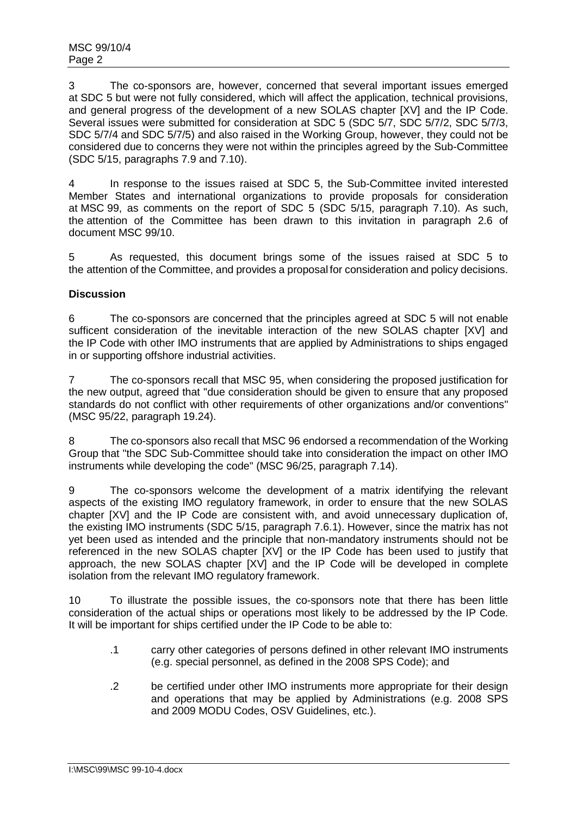3 The co-sponsors are, however, concerned that several important issues emerged at SDC 5 but were not fully considered, which will affect the application, technical provisions, and general progress of the development of a new SOLAS chapter [XV] and the IP Code. Several issues were submitted for consideration at SDC 5 (SDC 5/7, SDC 5/7/2, SDC 5/7/3, SDC 5/7/4 and SDC 5/7/5) and also raised in the Working Group, however, they could not be considered due to concerns they were not within the principles agreed by the Sub-Committee (SDC 5/15, paragraphs 7.9 and 7.10).

4 In response to the issues raised at SDC 5, the Sub-Committee invited interested Member States and international organizations to provide proposals for consideration at MSC 99, as comments on the report of SDC 5 (SDC 5/15, paragraph 7.10). As such, the attention of the Committee has been drawn to this invitation in paragraph 2.6 of document MSC 99/10.

5 As requested, this document brings some of the issues raised at SDC 5 to the attention of the Committee, and provides a proposal for consideration and policy decisions.

# **Discussion**

6 The co-sponsors are concerned that the principles agreed at SDC 5 will not enable sufficent consideration of the inevitable interaction of the new SOLAS chapter [XV] and the IP Code with other IMO instruments that are applied by Administrations to ships engaged in or supporting offshore industrial activities.

7 The co-sponsors recall that MSC 95, when considering the proposed justification for the new output, agreed that "due consideration should be given to ensure that any proposed standards do not conflict with other requirements of other organizations and/or conventions" (MSC 95/22, paragraph 19.24).

8 The co-sponsors also recall that MSC 96 endorsed a recommendation of the Working Group that "the SDC Sub-Committee should take into consideration the impact on other IMO instruments while developing the code" (MSC 96/25, paragraph 7.14).

9 The co-sponsors welcome the development of a matrix identifying the relevant aspects of the existing IMO regulatory framework, in order to ensure that the new SOLAS chapter [XV] and the IP Code are consistent with, and avoid unnecessary duplication of, the existing IMO instruments (SDC 5/15, paragraph 7.6.1). However, since the matrix has not yet been used as intended and the principle that non-mandatory instruments should not be referenced in the new SOLAS chapter [XV] or the IP Code has been used to justify that approach, the new SOLAS chapter [XV] and the IP Code will be developed in complete isolation from the relevant IMO regulatory framework.

10 To illustrate the possible issues, the co-sponsors note that there has been little consideration of the actual ships or operations most likely to be addressed by the IP Code. It will be important for ships certified under the IP Code to be able to:

- .1 carry other categories of persons defined in other relevant IMO instruments (e.g. special personnel, as defined in the 2008 SPS Code); and
- .2 be certified under other IMO instruments more appropriate for their design and operations that may be applied by Administrations (e.g. 2008 SPS and 2009 MODU Codes, OSV Guidelines, etc.).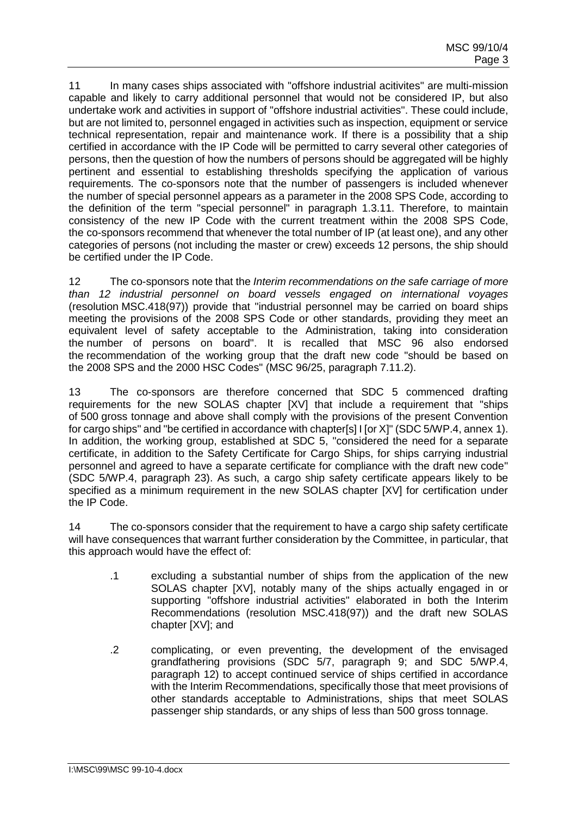11 In many cases ships associated with "offshore industrial acitivites" are multi-mission capable and likely to carry additional personnel that would not be considered IP, but also undertake work and activities in support of "offshore industrial activities". These could include, but are not limited to, personnel engaged in activities such as inspection, equipment or service technical representation, repair and maintenance work. If there is a possibility that a ship certified in accordance with the IP Code will be permitted to carry several other categories of persons, then the question of how the numbers of persons should be aggregated will be highly pertinent and essential to establishing thresholds specifying the application of various requirements. The co-sponsors note that the number of passengers is included whenever the number of special personnel appears as a parameter in the 2008 SPS Code, according to the definition of the term "special personnel" in paragraph 1.3.11. Therefore, to maintain consistency of the new IP Code with the current treatment within the 2008 SPS Code, the co-sponsors recommend that whenever the total number of IP (at least one), and any other categories of persons (not including the master or crew) exceeds 12 persons, the ship should be certified under the IP Code.

12 The co-sponsors note that the *Interim recommendations on the safe carriage of more than 12 industrial personnel on board vessels engaged on international voyages* (resolution MSC.418(97)) provide that "industrial personnel may be carried on board ships meeting the provisions of the 2008 SPS Code or other standards, providing they meet an equivalent level of safety acceptable to the Administration, taking into consideration the number of persons on board". It is recalled that MSC 96 also endorsed the recommendation of the working group that the draft new code "should be based on the 2008 SPS and the 2000 HSC Codes" (MSC 96/25, paragraph 7.11.2).

13 The co-sponsors are therefore concerned that SDC 5 commenced drafting requirements for the new SOLAS chapter [XV] that include a requirement that "ships of 500 gross tonnage and above shall comply with the provisions of the present Convention for cargo ships" and "be certified in accordance with chapter[s] I [or X]" (SDC 5/WP.4, annex 1). In addition, the working group, established at SDC 5, "considered the need for a separate certificate, in addition to the Safety Certificate for Cargo Ships, for ships carrying industrial personnel and agreed to have a separate certificate for compliance with the draft new code" (SDC 5/WP.4, paragraph 23). As such, a cargo ship safety certificate appears likely to be specified as a minimum requirement in the new SOLAS chapter [XV] for certification under the IP Code.

14 The co-sponsors consider that the requirement to have a cargo ship safety certificate will have consequences that warrant further consideration by the Committee, in particular, that this approach would have the effect of:

- .1 excluding a substantial number of ships from the application of the new SOLAS chapter [XV], notably many of the ships actually engaged in or supporting "offshore industrial activities" elaborated in both the Interim Recommendations (resolution MSC.418(97)) and the draft new SOLAS chapter [XV]; and
- .2 complicating, or even preventing, the development of the envisaged grandfathering provisions (SDC 5/7, paragraph 9; and SDC 5/WP.4, paragraph 12) to accept continued service of ships certified in accordance with the Interim Recommendations, specifically those that meet provisions of other standards acceptable to Administrations, ships that meet SOLAS passenger ship standards, or any ships of less than 500 gross tonnage.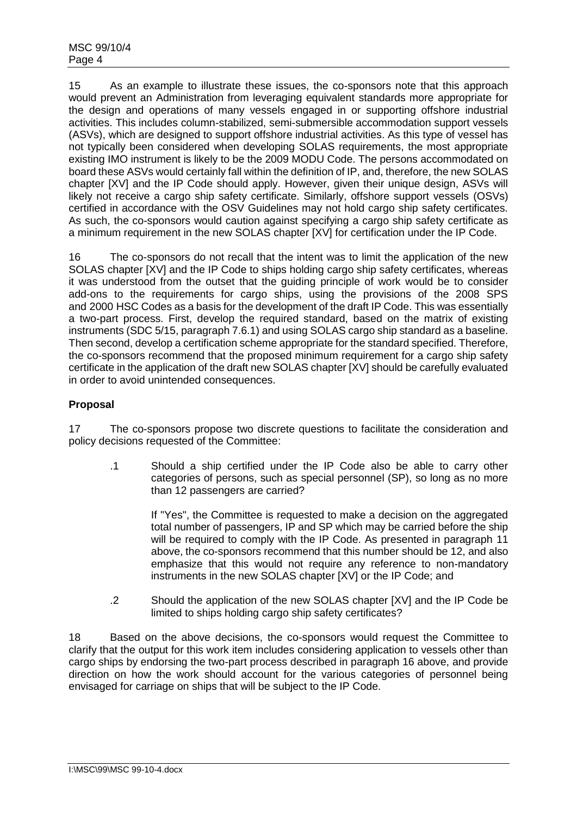15 As an example to illustrate these issues, the co-sponsors note that this approach would prevent an Administration from leveraging equivalent standards more appropriate for the design and operations of many vessels engaged in or supporting offshore industrial activities. This includes column-stabilized, semi-submersible accommodation support vessels (ASVs), which are designed to support offshore industrial activities. As this type of vessel has not typically been considered when developing SOLAS requirements, the most appropriate existing IMO instrument is likely to be the 2009 MODU Code. The persons accommodated on board these ASVs would certainly fall within the definition of IP, and, therefore, the new SOLAS chapter [XV] and the IP Code should apply. However, given their unique design, ASVs will likely not receive a cargo ship safety certificate. Similarly, offshore support vessels (OSVs) certified in accordance with the OSV Guidelines may not hold cargo ship safety certificates. As such, the co-sponsors would caution against specifying a cargo ship safety certificate as a minimum requirement in the new SOLAS chapter [XV] for certification under the IP Code.

16 The co-sponsors do not recall that the intent was to limit the application of the new SOLAS chapter [XV] and the IP Code to ships holding cargo ship safety certificates, whereas it was understood from the outset that the guiding principle of work would be to consider add-ons to the requirements for cargo ships, using the provisions of the 2008 SPS and 2000 HSC Codes as a basis for the development of the draft IP Code. This was essentially a two-part process. First, develop the required standard, based on the matrix of existing instruments (SDC 5/15, paragraph 7.6.1) and using SOLAS cargo ship standard as a baseline. Then second, develop a certification scheme appropriate for the standard specified. Therefore, the co-sponsors recommend that the proposed minimum requirement for a cargo ship safety certificate in the application of the draft new SOLAS chapter [XV] should be carefully evaluated in order to avoid unintended consequences.

# **Proposal**

17 The co-sponsors propose two discrete questions to facilitate the consideration and policy decisions requested of the Committee:

.1 Should a ship certified under the IP Code also be able to carry other categories of persons, such as special personnel (SP), so long as no more than 12 passengers are carried?

If "Yes", the Committee is requested to make a decision on the aggregated total number of passengers, IP and SP which may be carried before the ship will be required to comply with the IP Code. As presented in paragraph 11 above, the co-sponsors recommend that this number should be 12, and also emphasize that this would not require any reference to non-mandatory instruments in the new SOLAS chapter [XV] or the IP Code; and

.2 Should the application of the new SOLAS chapter [XV] and the IP Code be limited to ships holding cargo ship safety certificates?

18 Based on the above decisions, the co-sponsors would request the Committee to clarify that the output for this work item includes considering application to vessels other than cargo ships by endorsing the two-part process described in paragraph 16 above, and provide direction on how the work should account for the various categories of personnel being envisaged for carriage on ships that will be subject to the IP Code.